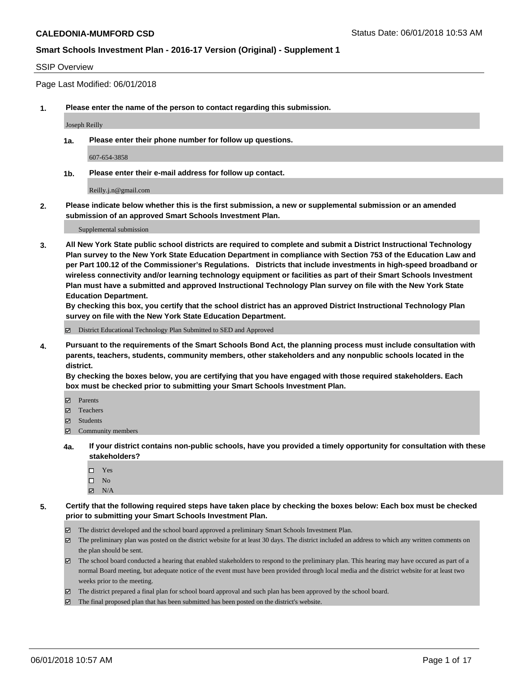#### SSIP Overview

Page Last Modified: 06/01/2018

**1. Please enter the name of the person to contact regarding this submission.**

Joseph Reilly

**1a. Please enter their phone number for follow up questions.**

607-654-3858

**1b. Please enter their e-mail address for follow up contact.**

Reilly.j.n@gmail.com

**2. Please indicate below whether this is the first submission, a new or supplemental submission or an amended submission of an approved Smart Schools Investment Plan.**

Supplemental submission

**3. All New York State public school districts are required to complete and submit a District Instructional Technology Plan survey to the New York State Education Department in compliance with Section 753 of the Education Law and per Part 100.12 of the Commissioner's Regulations. Districts that include investments in high-speed broadband or wireless connectivity and/or learning technology equipment or facilities as part of their Smart Schools Investment Plan must have a submitted and approved Instructional Technology Plan survey on file with the New York State Education Department.** 

**By checking this box, you certify that the school district has an approved District Instructional Technology Plan survey on file with the New York State Education Department.**

District Educational Technology Plan Submitted to SED and Approved

**4. Pursuant to the requirements of the Smart Schools Bond Act, the planning process must include consultation with parents, teachers, students, community members, other stakeholders and any nonpublic schools located in the district.** 

**By checking the boxes below, you are certifying that you have engaged with those required stakeholders. Each box must be checked prior to submitting your Smart Schools Investment Plan.**

- Parents
- Teachers
- Students
- $\Xi$  Community members
- **4a. If your district contains non-public schools, have you provided a timely opportunity for consultation with these stakeholders?**
	- Yes
	- $\square$  No
	- $N/A$
- **5. Certify that the following required steps have taken place by checking the boxes below: Each box must be checked prior to submitting your Smart Schools Investment Plan.**
	- The district developed and the school board approved a preliminary Smart Schools Investment Plan.
	- $\boxtimes$  The preliminary plan was posted on the district website for at least 30 days. The district included an address to which any written comments on the plan should be sent.
	- $\boxtimes$  The school board conducted a hearing that enabled stakeholders to respond to the preliminary plan. This hearing may have occured as part of a normal Board meeting, but adequate notice of the event must have been provided through local media and the district website for at least two weeks prior to the meeting.
	- The district prepared a final plan for school board approval and such plan has been approved by the school board.
	- $\boxtimes$  The final proposed plan that has been submitted has been posted on the district's website.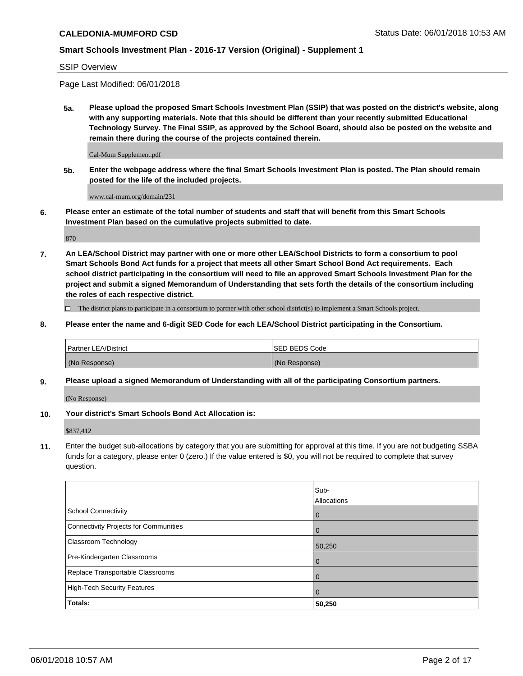SSIP Overview

Page Last Modified: 06/01/2018

**5a. Please upload the proposed Smart Schools Investment Plan (SSIP) that was posted on the district's website, along with any supporting materials. Note that this should be different than your recently submitted Educational Technology Survey. The Final SSIP, as approved by the School Board, should also be posted on the website and remain there during the course of the projects contained therein.**

Cal-Mum Supplement.pdf

**5b. Enter the webpage address where the final Smart Schools Investment Plan is posted. The Plan should remain posted for the life of the included projects.**

www.cal-mum.org/domain/231

**6. Please enter an estimate of the total number of students and staff that will benefit from this Smart Schools Investment Plan based on the cumulative projects submitted to date.**

870

**7. An LEA/School District may partner with one or more other LEA/School Districts to form a consortium to pool Smart Schools Bond Act funds for a project that meets all other Smart School Bond Act requirements. Each school district participating in the consortium will need to file an approved Smart Schools Investment Plan for the project and submit a signed Memorandum of Understanding that sets forth the details of the consortium including the roles of each respective district.**

 $\Box$  The district plans to participate in a consortium to partner with other school district(s) to implement a Smart Schools project.

**8. Please enter the name and 6-digit SED Code for each LEA/School District participating in the Consortium.**

| <b>Partner LEA/District</b> | <b>ISED BEDS Code</b> |
|-----------------------------|-----------------------|
| (No Response)               | (No Response)         |

#### **9. Please upload a signed Memorandum of Understanding with all of the participating Consortium partners.**

(No Response)

**10. Your district's Smart Schools Bond Act Allocation is:**

\$837,412

**11.** Enter the budget sub-allocations by category that you are submitting for approval at this time. If you are not budgeting SSBA funds for a category, please enter 0 (zero.) If the value entered is \$0, you will not be required to complete that survey question.

|                                       | Sub-<br><b>Allocations</b> |
|---------------------------------------|----------------------------|
| School Connectivity                   | l 0                        |
| Connectivity Projects for Communities | $\overline{0}$             |
| Classroom Technology                  | 50,250                     |
| Pre-Kindergarten Classrooms           | $\overline{0}$             |
| Replace Transportable Classrooms      | 0                          |
| High-Tech Security Features           | $\overline{0}$             |
| Totals:                               | 50,250                     |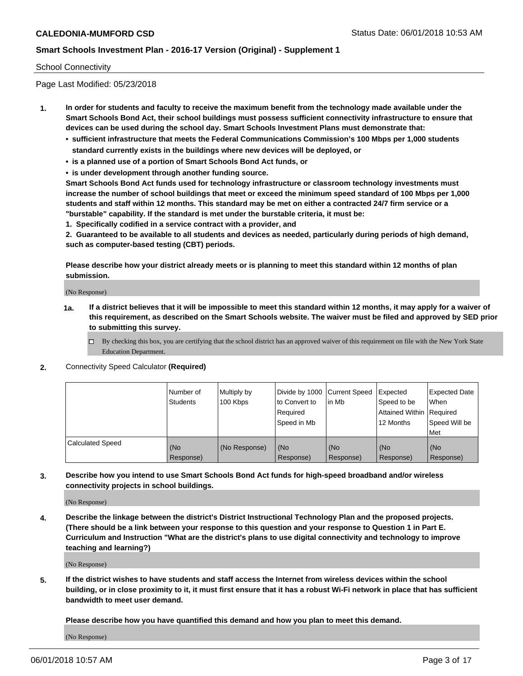#### School Connectivity

Page Last Modified: 05/23/2018

- **1. In order for students and faculty to receive the maximum benefit from the technology made available under the Smart Schools Bond Act, their school buildings must possess sufficient connectivity infrastructure to ensure that devices can be used during the school day. Smart Schools Investment Plans must demonstrate that:**
	- **• sufficient infrastructure that meets the Federal Communications Commission's 100 Mbps per 1,000 students standard currently exists in the buildings where new devices will be deployed, or**
	- **• is a planned use of a portion of Smart Schools Bond Act funds, or**
	- **• is under development through another funding source.**

**Smart Schools Bond Act funds used for technology infrastructure or classroom technology investments must increase the number of school buildings that meet or exceed the minimum speed standard of 100 Mbps per 1,000 students and staff within 12 months. This standard may be met on either a contracted 24/7 firm service or a "burstable" capability. If the standard is met under the burstable criteria, it must be:**

**1. Specifically codified in a service contract with a provider, and**

**2. Guaranteed to be available to all students and devices as needed, particularly during periods of high demand, such as computer-based testing (CBT) periods.**

**Please describe how your district already meets or is planning to meet this standard within 12 months of plan submission.**

(No Response)

- **1a. If a district believes that it will be impossible to meet this standard within 12 months, it may apply for a waiver of this requirement, as described on the Smart Schools website. The waiver must be filed and approved by SED prior to submitting this survey.**
	- By checking this box, you are certifying that the school district has an approved waiver of this requirement on file with the New York State Education Department.
- **2.** Connectivity Speed Calculator **(Required)**

|                         | l Number of<br><b>Students</b> | Multiply by<br>100 Kbps | Divide by 1000 Current Speed<br>to Convert to<br>Required<br>l Speed in Mb | lin Mb           | Expected<br>Speed to be<br>Attained Within Required<br>12 Months | <b>Expected Date</b><br><b>When</b><br>Speed Will be<br>l Met |
|-------------------------|--------------------------------|-------------------------|----------------------------------------------------------------------------|------------------|------------------------------------------------------------------|---------------------------------------------------------------|
| <b>Calculated Speed</b> | (No<br>Response)               | (No Response)           | (No<br>Response)                                                           | (No<br>Response) | (No<br>Response)                                                 | l (No<br>Response)                                            |

**3. Describe how you intend to use Smart Schools Bond Act funds for high-speed broadband and/or wireless connectivity projects in school buildings.**

(No Response)

**4. Describe the linkage between the district's District Instructional Technology Plan and the proposed projects. (There should be a link between your response to this question and your response to Question 1 in Part E. Curriculum and Instruction "What are the district's plans to use digital connectivity and technology to improve teaching and learning?)**

(No Response)

**5. If the district wishes to have students and staff access the Internet from wireless devices within the school building, or in close proximity to it, it must first ensure that it has a robust Wi-Fi network in place that has sufficient bandwidth to meet user demand.**

**Please describe how you have quantified this demand and how you plan to meet this demand.**

(No Response)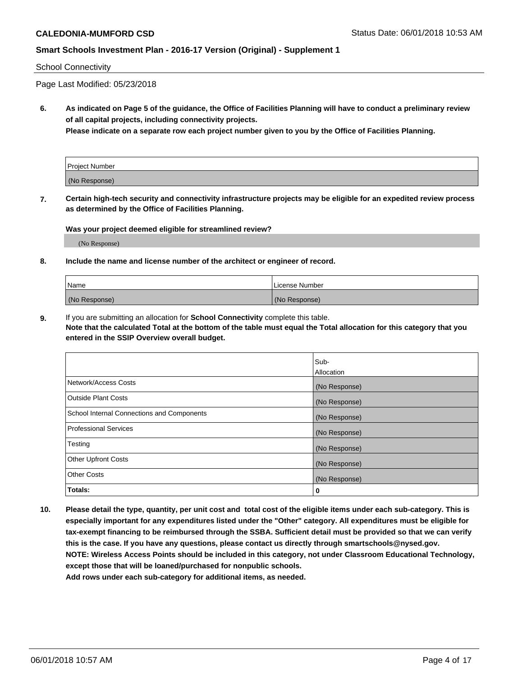#### School Connectivity

Page Last Modified: 05/23/2018

**6. As indicated on Page 5 of the guidance, the Office of Facilities Planning will have to conduct a preliminary review of all capital projects, including connectivity projects.**

**Please indicate on a separate row each project number given to you by the Office of Facilities Planning.**

| Project Number |  |
|----------------|--|
| (No Response)  |  |

**7. Certain high-tech security and connectivity infrastructure projects may be eligible for an expedited review process as determined by the Office of Facilities Planning.**

#### **Was your project deemed eligible for streamlined review?**

(No Response)

#### **8. Include the name and license number of the architect or engineer of record.**

| l Name        | l License Number |
|---------------|------------------|
| (No Response) | (No Response)    |

**9.** If you are submitting an allocation for **School Connectivity** complete this table.

**Note that the calculated Total at the bottom of the table must equal the Total allocation for this category that you entered in the SSIP Overview overall budget.** 

|                                            | Sub-          |
|--------------------------------------------|---------------|
|                                            | Allocation    |
| Network/Access Costs                       | (No Response) |
| Outside Plant Costs                        | (No Response) |
| School Internal Connections and Components | (No Response) |
| Professional Services                      | (No Response) |
| Testing                                    | (No Response) |
| <b>Other Upfront Costs</b>                 | (No Response) |
| <b>Other Costs</b>                         | (No Response) |
| Totals:                                    | 0             |

**10. Please detail the type, quantity, per unit cost and total cost of the eligible items under each sub-category. This is especially important for any expenditures listed under the "Other" category. All expenditures must be eligible for tax-exempt financing to be reimbursed through the SSBA. Sufficient detail must be provided so that we can verify this is the case. If you have any questions, please contact us directly through smartschools@nysed.gov. NOTE: Wireless Access Points should be included in this category, not under Classroom Educational Technology, except those that will be loaned/purchased for nonpublic schools.**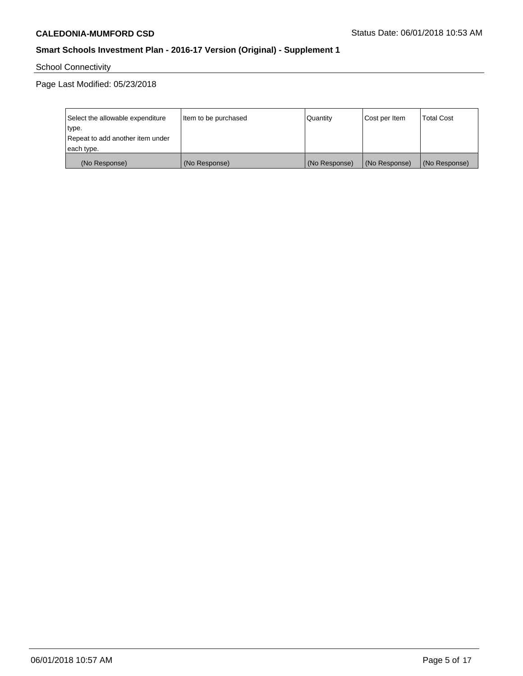# School Connectivity

Page Last Modified: 05/23/2018

| Select the allowable expenditure | Item to be purchased | Quantity      | Cost per Item | <b>Total Cost</b> |
|----------------------------------|----------------------|---------------|---------------|-------------------|
| type.                            |                      |               |               |                   |
| Repeat to add another item under |                      |               |               |                   |
| each type.                       |                      |               |               |                   |
| (No Response)                    | (No Response)        | (No Response) | (No Response) | (No Response)     |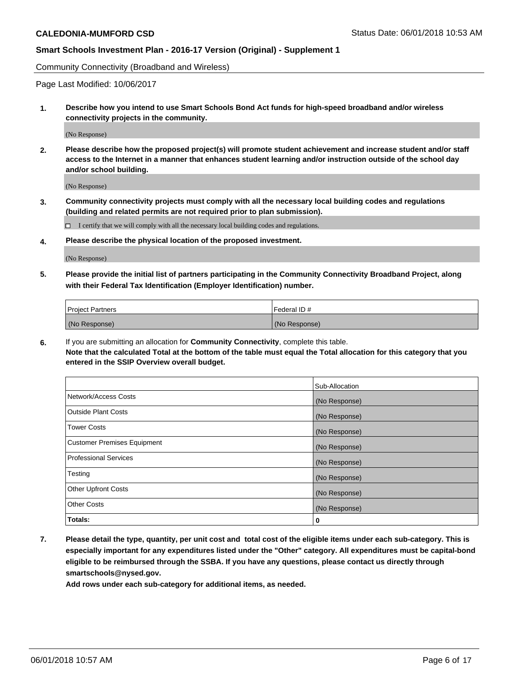Community Connectivity (Broadband and Wireless)

Page Last Modified: 10/06/2017

**1. Describe how you intend to use Smart Schools Bond Act funds for high-speed broadband and/or wireless connectivity projects in the community.**

(No Response)

**2. Please describe how the proposed project(s) will promote student achievement and increase student and/or staff access to the Internet in a manner that enhances student learning and/or instruction outside of the school day and/or school building.**

(No Response)

**3. Community connectivity projects must comply with all the necessary local building codes and regulations (building and related permits are not required prior to plan submission).**

 $\Box$  I certify that we will comply with all the necessary local building codes and regulations.

**4. Please describe the physical location of the proposed investment.**

(No Response)

**5. Please provide the initial list of partners participating in the Community Connectivity Broadband Project, along with their Federal Tax Identification (Employer Identification) number.**

| <b>Project Partners</b> | Federal ID#   |
|-------------------------|---------------|
| (No Response)           | (No Response) |

**6.** If you are submitting an allocation for **Community Connectivity**, complete this table. **Note that the calculated Total at the bottom of the table must equal the Total allocation for this category that you entered in the SSIP Overview overall budget.**

|                                    | Sub-Allocation |
|------------------------------------|----------------|
| Network/Access Costs               | (No Response)  |
| Outside Plant Costs                | (No Response)  |
| <b>Tower Costs</b>                 | (No Response)  |
| <b>Customer Premises Equipment</b> | (No Response)  |
| Professional Services              | (No Response)  |
| Testing                            | (No Response)  |
| <b>Other Upfront Costs</b>         | (No Response)  |
| <b>Other Costs</b>                 | (No Response)  |
| Totals:                            | 0              |

**7. Please detail the type, quantity, per unit cost and total cost of the eligible items under each sub-category. This is especially important for any expenditures listed under the "Other" category. All expenditures must be capital-bond eligible to be reimbursed through the SSBA. If you have any questions, please contact us directly through smartschools@nysed.gov.**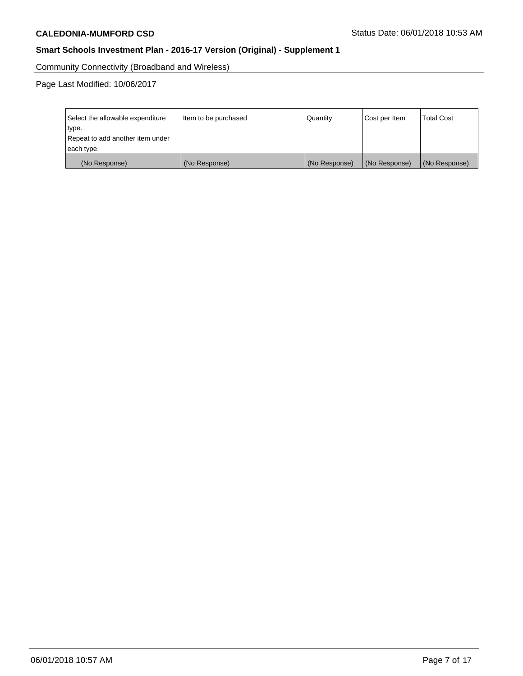Community Connectivity (Broadband and Wireless)

Page Last Modified: 10/06/2017

| Select the allowable expenditure<br>type.<br>Repeat to add another item under<br>each type. | Item to be purchased | Quantity      | Cost per Item | <b>Total Cost</b> |
|---------------------------------------------------------------------------------------------|----------------------|---------------|---------------|-------------------|
| (No Response)                                                                               | (No Response)        | (No Response) | (No Response) | (No Response)     |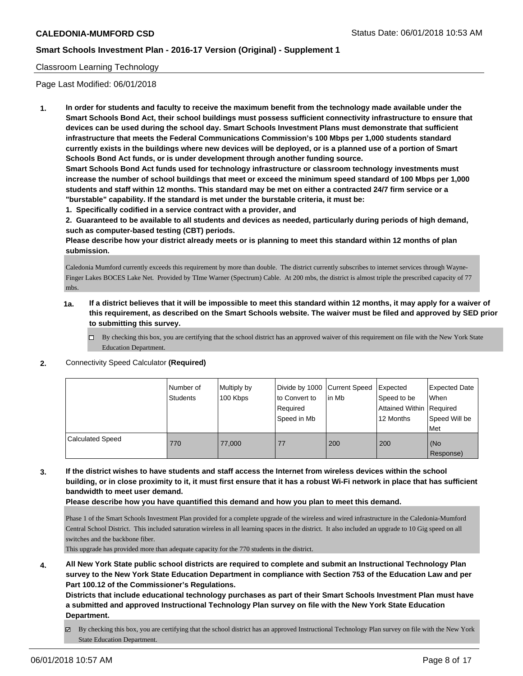### Classroom Learning Technology

Page Last Modified: 06/01/2018

**1. In order for students and faculty to receive the maximum benefit from the technology made available under the Smart Schools Bond Act, their school buildings must possess sufficient connectivity infrastructure to ensure that devices can be used during the school day. Smart Schools Investment Plans must demonstrate that sufficient infrastructure that meets the Federal Communications Commission's 100 Mbps per 1,000 students standard currently exists in the buildings where new devices will be deployed, or is a planned use of a portion of Smart Schools Bond Act funds, or is under development through another funding source.**

**Smart Schools Bond Act funds used for technology infrastructure or classroom technology investments must increase the number of school buildings that meet or exceed the minimum speed standard of 100 Mbps per 1,000 students and staff within 12 months. This standard may be met on either a contracted 24/7 firm service or a "burstable" capability. If the standard is met under the burstable criteria, it must be:**

**1. Specifically codified in a service contract with a provider, and**

**2. Guaranteed to be available to all students and devices as needed, particularly during periods of high demand, such as computer-based testing (CBT) periods.**

**Please describe how your district already meets or is planning to meet this standard within 12 months of plan submission.**

Caledonia Mumford currently exceeds this requirement by more than double. The district currently subscribes to internet services through Wayne-Finger Lakes BOCES Lake Net. Provided by TIme Warner (Spectrum) Cable. At 200 mbs, the district is almost triple the prescribed capacity of 77 mbs.

- **1a. If a district believes that it will be impossible to meet this standard within 12 months, it may apply for a waiver of this requirement, as described on the Smart Schools website. The waiver must be filed and approved by SED prior to submitting this survey.**
	- By checking this box, you are certifying that the school district has an approved waiver of this requirement on file with the New York State Education Department.
- **2.** Connectivity Speed Calculator **(Required)**

|                         | Number of<br>Students | Multiply by<br>100 Kbps | Divide by 1000 Current Speed<br>to Convert to<br>Required<br>Speed in Mb | l in Mb | Expected<br>Speed to be<br>Attained Within Required<br>12 Months | Expected Date<br>When<br>Speed Will be<br>Met |
|-------------------------|-----------------------|-------------------------|--------------------------------------------------------------------------|---------|------------------------------------------------------------------|-----------------------------------------------|
| <b>Calculated Speed</b> | 770                   | 77,000                  | 77                                                                       | 200     | 200                                                              | (No<br>Response)                              |

**3. If the district wishes to have students and staff access the Internet from wireless devices within the school building, or in close proximity to it, it must first ensure that it has a robust Wi-Fi network in place that has sufficient bandwidth to meet user demand.**

**Please describe how you have quantified this demand and how you plan to meet this demand.**

Phase 1 of the Smart Schools Investment Plan provided for a complete upgrade of the wireless and wired infrastructure in the Caledonia-Mumford Central School District. This included saturation wireless in all learning spaces in the district. It also included an upgrade to 10 Gig speed on all switches and the backbone fiber.

This upgrade has provided more than adequate capacity for the 770 students in the district.

**4. All New York State public school districts are required to complete and submit an Instructional Technology Plan survey to the New York State Education Department in compliance with Section 753 of the Education Law and per Part 100.12 of the Commissioner's Regulations.**

**Districts that include educational technology purchases as part of their Smart Schools Investment Plan must have a submitted and approved Instructional Technology Plan survey on file with the New York State Education Department.**

By checking this box, you are certifying that the school district has an approved Instructional Technology Plan survey on file with the New York State Education Department.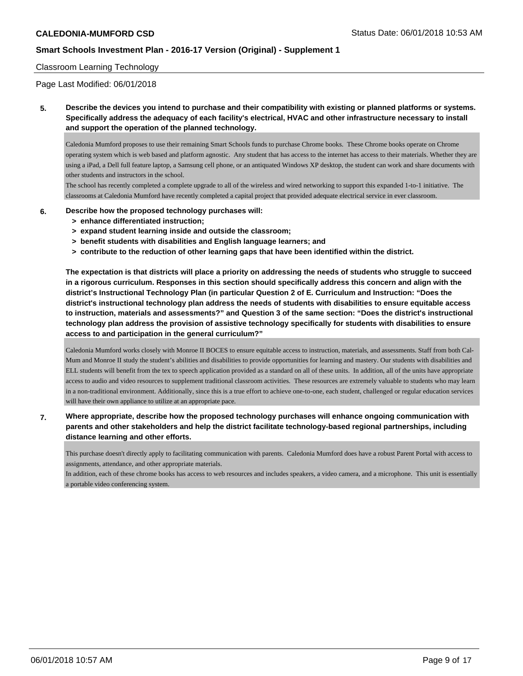#### Classroom Learning Technology

Page Last Modified: 06/01/2018

**5. Describe the devices you intend to purchase and their compatibility with existing or planned platforms or systems. Specifically address the adequacy of each facility's electrical, HVAC and other infrastructure necessary to install and support the operation of the planned technology.**

Caledonia Mumford proposes to use their remaining Smart Schools funds to purchase Chrome books. These Chrome books operate on Chrome operating system which is web based and platform agnostic. Any student that has access to the internet has access to their materials. Whether they are using a iPad, a Dell full feature laptop, a Samsung cell phone, or an antiquated Windows XP desktop, the student can work and share documents with other students and instructors in the school.

The school has recently completed a complete upgrade to all of the wireless and wired networking to support this expanded 1-to-1 initiative. The classrooms at Caledonia Mumford have recently completed a capital project that provided adequate electrical service in ever classroom.

- **6. Describe how the proposed technology purchases will:**
	- **> enhance differentiated instruction;**
	- **> expand student learning inside and outside the classroom;**
	- **> benefit students with disabilities and English language learners; and**
	- **> contribute to the reduction of other learning gaps that have been identified within the district.**

**The expectation is that districts will place a priority on addressing the needs of students who struggle to succeed in a rigorous curriculum. Responses in this section should specifically address this concern and align with the district's Instructional Technology Plan (in particular Question 2 of E. Curriculum and Instruction: "Does the district's instructional technology plan address the needs of students with disabilities to ensure equitable access to instruction, materials and assessments?" and Question 3 of the same section: "Does the district's instructional technology plan address the provision of assistive technology specifically for students with disabilities to ensure access to and participation in the general curriculum?"**

Caledonia Mumford works closely with Monroe II BOCES to ensure equitable access to instruction, materials, and assessments. Staff from both Cal-Mum and Monroe II study the student's abilities and disabilities to provide opportunities for learning and mastery. Our students with disabilities and ELL students will benefit from the tex to speech application provided as a standard on all of these units. In addition, all of the units have appropriate access to audio and video resources to supplement traditional classroom activities. These resources are extremely valuable to students who may learn in a non-traditional environment. Additionally, since this is a true effort to achieve one-to-one, each student, challenged or regular education services will have their own appliance to utilize at an appropriate pace.

## **7. Where appropriate, describe how the proposed technology purchases will enhance ongoing communication with parents and other stakeholders and help the district facilitate technology-based regional partnerships, including distance learning and other efforts.**

This purchase doesn't directly apply to facilitating communication with parents. Caledonia Mumford does have a robust Parent Portal with access to assignments, attendance, and other appropriate materials.

In addition, each of these chrome books has access to web resources and includes speakers, a video camera, and a microphone. This unit is essentially a portable video conferencing system.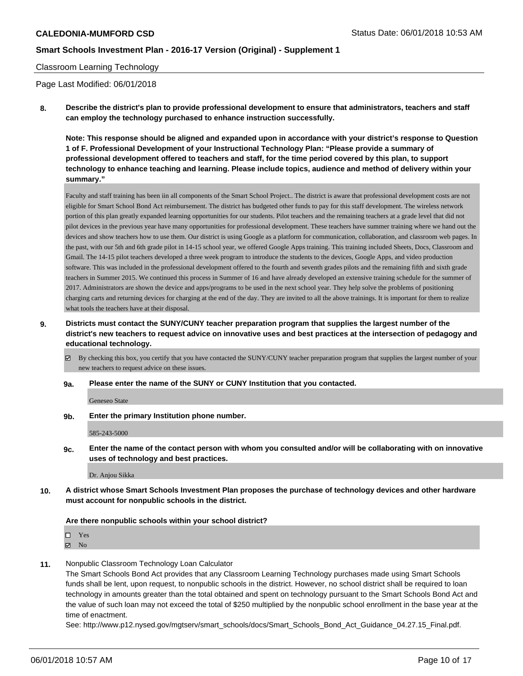#### Classroom Learning Technology

Page Last Modified: 06/01/2018

**8. Describe the district's plan to provide professional development to ensure that administrators, teachers and staff can employ the technology purchased to enhance instruction successfully.**

**Note: This response should be aligned and expanded upon in accordance with your district's response to Question 1 of F. Professional Development of your Instructional Technology Plan: "Please provide a summary of professional development offered to teachers and staff, for the time period covered by this plan, to support technology to enhance teaching and learning. Please include topics, audience and method of delivery within your summary."**

Faculty and staff training has been iin all components of the Smart School Project.. The district is aware that professional development costs are not eligible for Smart School Bond Act reimbursement. The district has budgeted other funds to pay for this staff development. The wireless network portion of this plan greatly expanded learning opportunities for our students. Pilot teachers and the remaining teachers at a grade level that did not pilot devices in the previous year have many opportunities for professional development. These teachers have summer training where we hand out the devices and show teachers how to use them. Our district is using Google as a platform for communication, collaboration, and classroom web pages. In the past, with our 5th and 6th grade pilot in 14-15 school year, we offered Google Apps training. This training included Sheets, Docs, Classroom and Gmail. The 14-15 pilot teachers developed a three week program to introduce the students to the devices, Google Apps, and video production software. This was included in the professional development offered to the fourth and seventh grades pilots and the remaining fifth and sixth grade teachers in Summer 2015. We continued this process in Summer of 16 and have already developed an extensive training schedule for the summer of 2017. Administrators are shown the device and apps/programs to be used in the next school year. They help solve the problems of positioning charging carts and returning devices for charging at the end of the day. They are invited to all the above trainings. It is important for them to realize what tools the teachers have at their disposal.

**9. Districts must contact the SUNY/CUNY teacher preparation program that supplies the largest number of the district's new teachers to request advice on innovative uses and best practices at the intersection of pedagogy and educational technology.**

 $\boxtimes$  By checking this box, you certify that you have contacted the SUNY/CUNY teacher preparation program that supplies the largest number of your new teachers to request advice on these issues.

**9a. Please enter the name of the SUNY or CUNY Institution that you contacted.**

Geneseo State

**9b. Enter the primary Institution phone number.**

585-243-5000

**9c. Enter the name of the contact person with whom you consulted and/or will be collaborating with on innovative uses of technology and best practices.**

Dr. Anjou Sikka

**10. A district whose Smart Schools Investment Plan proposes the purchase of technology devices and other hardware must account for nonpublic schools in the district.**

#### **Are there nonpublic schools within your school district?**

Yes

 $\boxtimes$  No

**11.** Nonpublic Classroom Technology Loan Calculator

The Smart Schools Bond Act provides that any Classroom Learning Technology purchases made using Smart Schools funds shall be lent, upon request, to nonpublic schools in the district. However, no school district shall be required to loan technology in amounts greater than the total obtained and spent on technology pursuant to the Smart Schools Bond Act and the value of such loan may not exceed the total of \$250 multiplied by the nonpublic school enrollment in the base year at the time of enactment.

See: http://www.p12.nysed.gov/mgtserv/smart\_schools/docs/Smart\_Schools\_Bond\_Act\_Guidance\_04.27.15\_Final.pdf.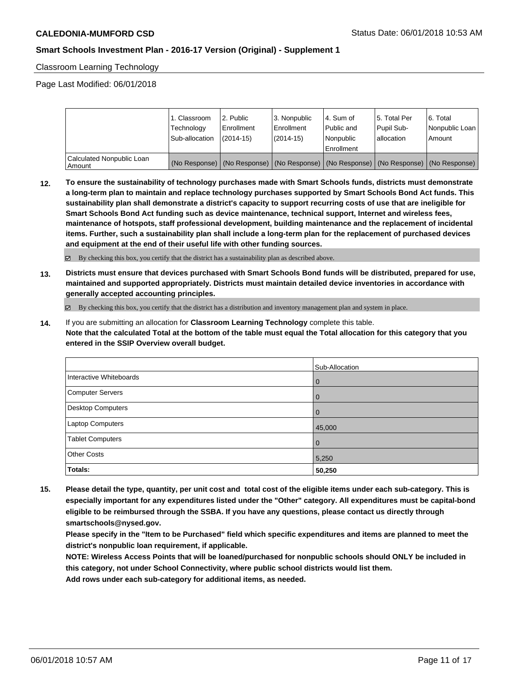Classroom Learning Technology

Page Last Modified: 06/01/2018

|                                       | 1. Classroom<br>Technology<br>Sub-allocation | 2. Public<br>l Enrollment<br>$(2014-15)$ | l 3. Nonpublic<br>l Enrollment<br>(2014-15) | l 4. Sum of<br>Public and<br>Nonpublic<br>Enrollment | 15. Total Per<br>Pupil Sub-<br>allocation | l 6. Total<br>Nonpublic Loan<br>l Amount                                                      |
|---------------------------------------|----------------------------------------------|------------------------------------------|---------------------------------------------|------------------------------------------------------|-------------------------------------------|-----------------------------------------------------------------------------------------------|
| Calculated Nonpublic Loan<br>l Amount |                                              |                                          |                                             |                                                      |                                           | (No Response)   (No Response)   (No Response)   (No Response)   (No Response)   (No Response) |

**12. To ensure the sustainability of technology purchases made with Smart Schools funds, districts must demonstrate a long-term plan to maintain and replace technology purchases supported by Smart Schools Bond Act funds. This sustainability plan shall demonstrate a district's capacity to support recurring costs of use that are ineligible for Smart Schools Bond Act funding such as device maintenance, technical support, Internet and wireless fees, maintenance of hotspots, staff professional development, building maintenance and the replacement of incidental items. Further, such a sustainability plan shall include a long-term plan for the replacement of purchased devices and equipment at the end of their useful life with other funding sources.**

By checking this box, you certify that the district has a sustainability plan as described above.

**13. Districts must ensure that devices purchased with Smart Schools Bond funds will be distributed, prepared for use, maintained and supported appropriately. Districts must maintain detailed device inventories in accordance with generally accepted accounting principles.**

By checking this box, you certify that the district has a distribution and inventory management plan and system in place.

**14.** If you are submitting an allocation for **Classroom Learning Technology** complete this table. **Note that the calculated Total at the bottom of the table must equal the Total allocation for this category that you entered in the SSIP Overview overall budget.**

|                         | Sub-Allocation |
|-------------------------|----------------|
| Interactive Whiteboards | l 0            |
| Computer Servers        | l 0            |
| Desktop Computers       | l O            |
| <b>Laptop Computers</b> | 45,000         |
| <b>Tablet Computers</b> | l 0            |
| <b>Other Costs</b>      | 5,250          |
| Totals:                 | 50,250         |

**15. Please detail the type, quantity, per unit cost and total cost of the eligible items under each sub-category. This is especially important for any expenditures listed under the "Other" category. All expenditures must be capital-bond eligible to be reimbursed through the SSBA. If you have any questions, please contact us directly through smartschools@nysed.gov.**

**Please specify in the "Item to be Purchased" field which specific expenditures and items are planned to meet the district's nonpublic loan requirement, if applicable.**

**NOTE: Wireless Access Points that will be loaned/purchased for nonpublic schools should ONLY be included in this category, not under School Connectivity, where public school districts would list them.**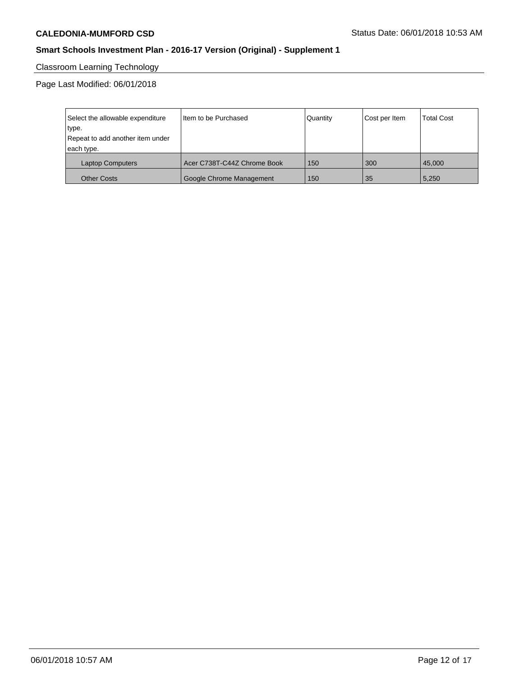# Classroom Learning Technology

Page Last Modified: 06/01/2018

| Select the allowable expenditure | Item to be Purchased        | Quantity | Cost per Item | <b>Total Cost</b> |
|----------------------------------|-----------------------------|----------|---------------|-------------------|
| type.                            |                             |          |               |                   |
| Repeat to add another item under |                             |          |               |                   |
| each type.                       |                             |          |               |                   |
| <b>Laptop Computers</b>          | Acer C738T-C44Z Chrome Book | 150      | 300           | 45,000            |
| <b>Other Costs</b>               | Google Chrome Management    | 150      | 35            | 5,250             |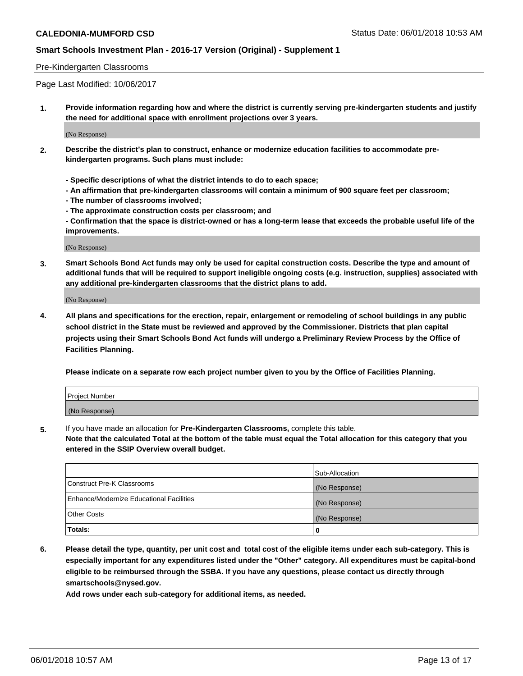#### Pre-Kindergarten Classrooms

Page Last Modified: 10/06/2017

**1. Provide information regarding how and where the district is currently serving pre-kindergarten students and justify the need for additional space with enrollment projections over 3 years.**

(No Response)

- **2. Describe the district's plan to construct, enhance or modernize education facilities to accommodate prekindergarten programs. Such plans must include:**
	- **Specific descriptions of what the district intends to do to each space;**
	- **An affirmation that pre-kindergarten classrooms will contain a minimum of 900 square feet per classroom;**
	- **The number of classrooms involved;**
	- **The approximate construction costs per classroom; and**
	- **Confirmation that the space is district-owned or has a long-term lease that exceeds the probable useful life of the improvements.**

(No Response)

**3. Smart Schools Bond Act funds may only be used for capital construction costs. Describe the type and amount of additional funds that will be required to support ineligible ongoing costs (e.g. instruction, supplies) associated with any additional pre-kindergarten classrooms that the district plans to add.**

(No Response)

**4. All plans and specifications for the erection, repair, enlargement or remodeling of school buildings in any public school district in the State must be reviewed and approved by the Commissioner. Districts that plan capital projects using their Smart Schools Bond Act funds will undergo a Preliminary Review Process by the Office of Facilities Planning.**

**Please indicate on a separate row each project number given to you by the Office of Facilities Planning.**

| <b>Project Number</b> |  |
|-----------------------|--|
| (No Response)         |  |

**5.** If you have made an allocation for **Pre-Kindergarten Classrooms,** complete this table.

**Note that the calculated Total at the bottom of the table must equal the Total allocation for this category that you entered in the SSIP Overview overall budget.**

|                                          | Sub-Allocation |
|------------------------------------------|----------------|
| Construct Pre-K Classrooms               | (No Response)  |
| Enhance/Modernize Educational Facilities | (No Response)  |
| Other Costs                              | (No Response)  |
| Totals:                                  | 0              |

**6. Please detail the type, quantity, per unit cost and total cost of the eligible items under each sub-category. This is especially important for any expenditures listed under the "Other" category. All expenditures must be capital-bond eligible to be reimbursed through the SSBA. If you have any questions, please contact us directly through smartschools@nysed.gov.**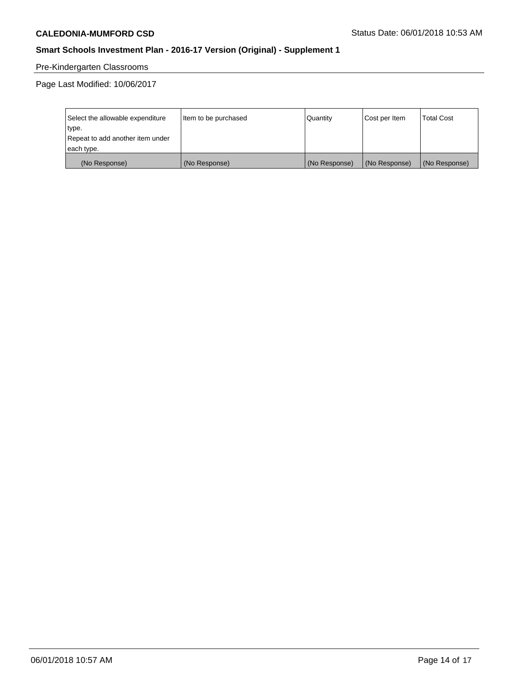# Pre-Kindergarten Classrooms

Page Last Modified: 10/06/2017

| Select the allowable expenditure | Item to be purchased | Quantity      | Cost per Item | <b>Total Cost</b> |
|----------------------------------|----------------------|---------------|---------------|-------------------|
| type.                            |                      |               |               |                   |
| Repeat to add another item under |                      |               |               |                   |
| each type.                       |                      |               |               |                   |
| (No Response)                    | (No Response)        | (No Response) | (No Response) | (No Response)     |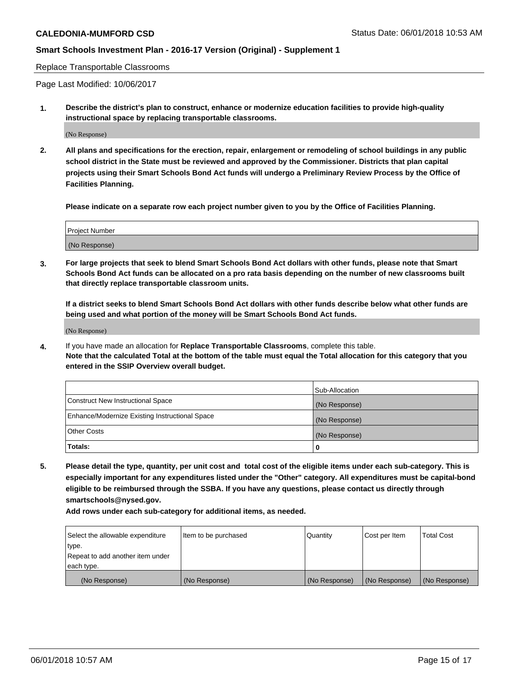Replace Transportable Classrooms

Page Last Modified: 10/06/2017

**1. Describe the district's plan to construct, enhance or modernize education facilities to provide high-quality instructional space by replacing transportable classrooms.**

(No Response)

**2. All plans and specifications for the erection, repair, enlargement or remodeling of school buildings in any public school district in the State must be reviewed and approved by the Commissioner. Districts that plan capital projects using their Smart Schools Bond Act funds will undergo a Preliminary Review Process by the Office of Facilities Planning.**

**Please indicate on a separate row each project number given to you by the Office of Facilities Planning.**

| <b>Project Number</b> |  |
|-----------------------|--|
| (No Response)         |  |

**3. For large projects that seek to blend Smart Schools Bond Act dollars with other funds, please note that Smart Schools Bond Act funds can be allocated on a pro rata basis depending on the number of new classrooms built that directly replace transportable classroom units.**

**If a district seeks to blend Smart Schools Bond Act dollars with other funds describe below what other funds are being used and what portion of the money will be Smart Schools Bond Act funds.**

(No Response)

**4.** If you have made an allocation for **Replace Transportable Classrooms**, complete this table. **Note that the calculated Total at the bottom of the table must equal the Total allocation for this category that you entered in the SSIP Overview overall budget.**

|                                                | Sub-Allocation |
|------------------------------------------------|----------------|
| Construct New Instructional Space              | (No Response)  |
| Enhance/Modernize Existing Instructional Space | (No Response)  |
| Other Costs                                    | (No Response)  |
| Totals:                                        | 0              |

**5. Please detail the type, quantity, per unit cost and total cost of the eligible items under each sub-category. This is especially important for any expenditures listed under the "Other" category. All expenditures must be capital-bond eligible to be reimbursed through the SSBA. If you have any questions, please contact us directly through smartschools@nysed.gov.**

| Select the allowable expenditure | Item to be purchased | Quantity      | Cost per Item | <b>Total Cost</b> |
|----------------------------------|----------------------|---------------|---------------|-------------------|
| type.                            |                      |               |               |                   |
| Repeat to add another item under |                      |               |               |                   |
| each type.                       |                      |               |               |                   |
| (No Response)                    | (No Response)        | (No Response) | (No Response) | (No Response)     |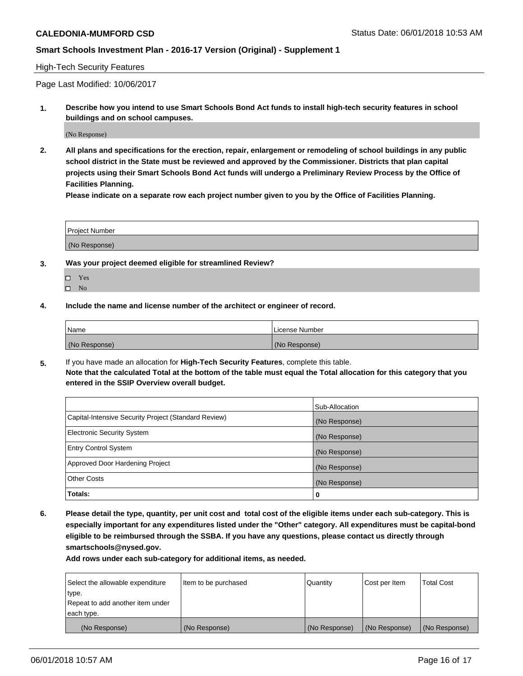#### High-Tech Security Features

Page Last Modified: 10/06/2017

**1. Describe how you intend to use Smart Schools Bond Act funds to install high-tech security features in school buildings and on school campuses.**

(No Response)

**2. All plans and specifications for the erection, repair, enlargement or remodeling of school buildings in any public school district in the State must be reviewed and approved by the Commissioner. Districts that plan capital projects using their Smart Schools Bond Act funds will undergo a Preliminary Review Process by the Office of Facilities Planning.** 

**Please indicate on a separate row each project number given to you by the Office of Facilities Planning.**

| <b>Project Number</b> |  |  |
|-----------------------|--|--|
|                       |  |  |
| (No Response)         |  |  |

- **3. Was your project deemed eligible for streamlined Review?**
	- Yes  $\square$  No
- **4. Include the name and license number of the architect or engineer of record.**

| <i>Name</i>   | License Number |
|---------------|----------------|
| (No Response) | (No Response)  |

**5.** If you have made an allocation for **High-Tech Security Features**, complete this table. **Note that the calculated Total at the bottom of the table must equal the Total allocation for this category that you entered in the SSIP Overview overall budget.**

|                                                      | Sub-Allocation |
|------------------------------------------------------|----------------|
| Capital-Intensive Security Project (Standard Review) | (No Response)  |
| <b>Electronic Security System</b>                    | (No Response)  |
| <b>Entry Control System</b>                          | (No Response)  |
| Approved Door Hardening Project                      | (No Response)  |
| <b>Other Costs</b>                                   | (No Response)  |
| Totals:                                              | 0              |

**6. Please detail the type, quantity, per unit cost and total cost of the eligible items under each sub-category. This is especially important for any expenditures listed under the "Other" category. All expenditures must be capital-bond eligible to be reimbursed through the SSBA. If you have any questions, please contact us directly through smartschools@nysed.gov.**

| Select the allowable expenditure | Item to be purchased | Quantity      | Cost per Item | <b>Total Cost</b> |
|----------------------------------|----------------------|---------------|---------------|-------------------|
| type.                            |                      |               |               |                   |
| Repeat to add another item under |                      |               |               |                   |
| each type.                       |                      |               |               |                   |
| (No Response)                    | (No Response)        | (No Response) | (No Response) | (No Response)     |